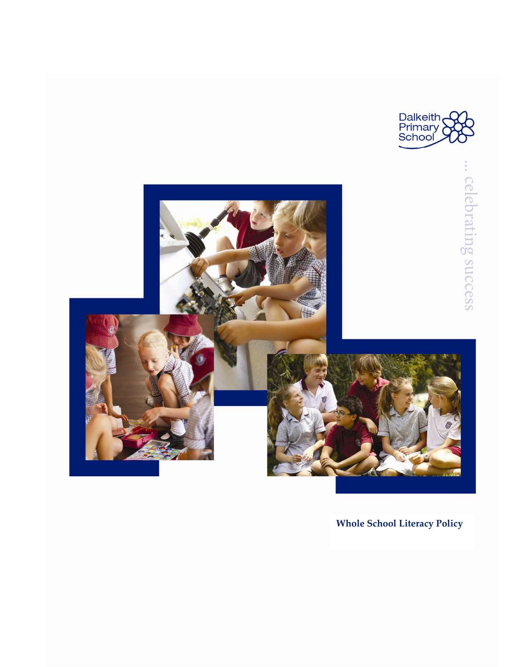



**Whole School Literacy Policy**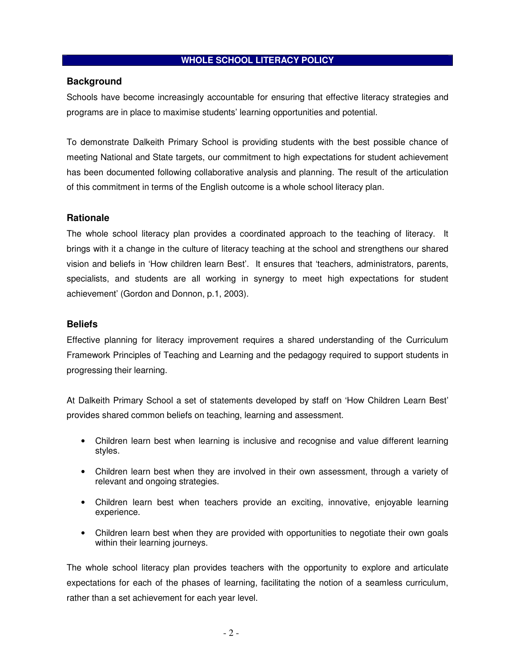## **WHOLE SCHOOL LITERACY POLICY**

#### **Background**

Schools have become increasingly accountable for ensuring that effective literacy strategies and programs are in place to maximise students' learning opportunities and potential.

To demonstrate Dalkeith Primary School is providing students with the best possible chance of meeting National and State targets, our commitment to high expectations for student achievement has been documented following collaborative analysis and planning. The result of the articulation of this commitment in terms of the English outcome is a whole school literacy plan.

## **Rationale**

The whole school literacy plan provides a coordinated approach to the teaching of literacy. It brings with it a change in the culture of literacy teaching at the school and strengthens our shared vision and beliefs in 'How children learn Best'. It ensures that 'teachers, administrators, parents, specialists, and students are all working in synergy to meet high expectations for student achievement' (Gordon and Donnon, p.1, 2003).

## **Beliefs**

Effective planning for literacy improvement requires a shared understanding of the Curriculum Framework Principles of Teaching and Learning and the pedagogy required to support students in progressing their learning.

At Dalkeith Primary School a set of statements developed by staff on 'How Children Learn Best' provides shared common beliefs on teaching, learning and assessment.

- Children learn best when learning is inclusive and recognise and value different learning styles.
- Children learn best when they are involved in their own assessment, through a variety of relevant and ongoing strategies.
- Children learn best when teachers provide an exciting, innovative, enjoyable learning experience.
- Children learn best when they are provided with opportunities to negotiate their own goals within their learning journeys.

The whole school literacy plan provides teachers with the opportunity to explore and articulate expectations for each of the phases of learning, facilitating the notion of a seamless curriculum, rather than a set achievement for each year level.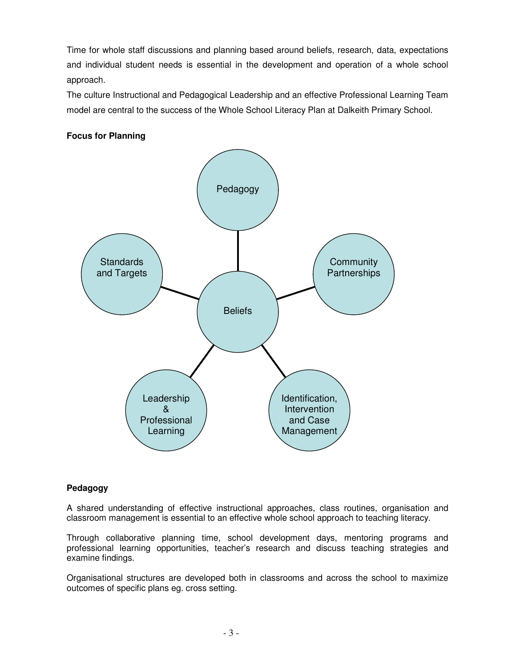Time for whole staff discussions and planning based around beliefs, research, data, expectations and individual student needs is essential in the development and operation of a whole school approach.

The culture Instructional and Pedagogical Leadership and an effective Professional Learning Team model are central to the success of the Whole School Literacy Plan at Dalkeith Primary School.

# **Focus for Planning**



## **Pedagogy**

A shared understanding of effective instructional approaches, class routines, organisation and classroom management is essential to an effective whole school approach to teaching literacy.

Through collaborative planning time, school development days, mentoring programs and professional learning opportunities, teacher's research and discuss teaching strategies and examine findings.

Organisational structures are developed both in classrooms and across the school to maximize outcomes of specific plans eg. cross setting.